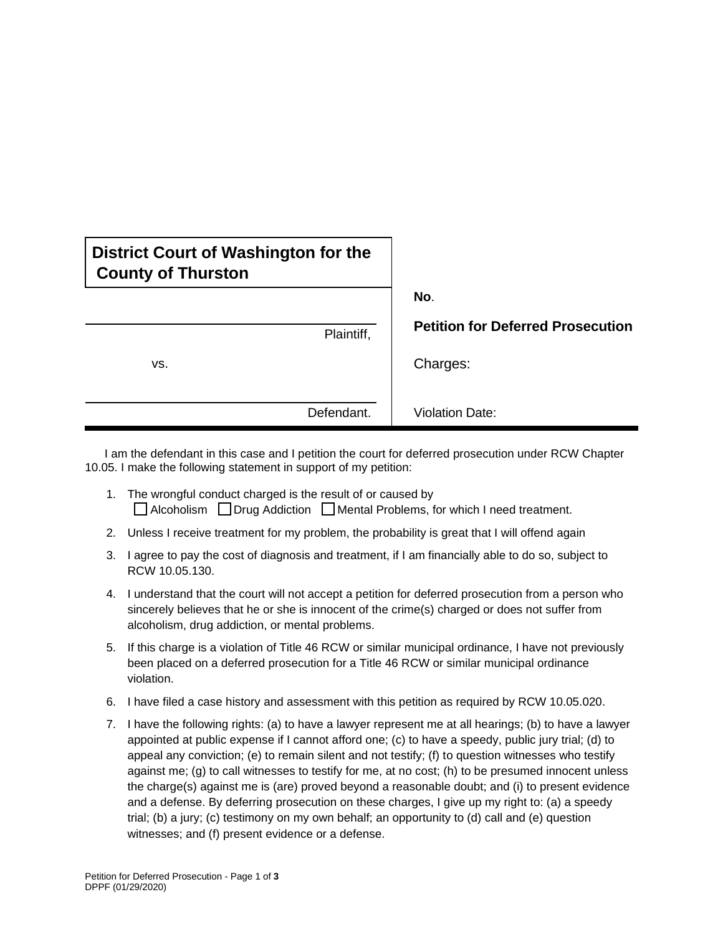| District Court of Washington for the<br><b>County of Thurston</b> |                                          |
|-------------------------------------------------------------------|------------------------------------------|
|                                                                   | No.                                      |
| Plaintiff,                                                        | <b>Petition for Deferred Prosecution</b> |
| VS.                                                               | Charges:                                 |
| Defendant.                                                        | <b>Violation Date:</b>                   |

 I am the defendant in this case and I petition the court for deferred prosecution under RCW Chapter 10.05. I make the following statement in support of my petition:

- 1. The wrongful conduct charged is the result of or caused by  $\Box$  Alcoholism  $\Box$  Drug Addiction  $\Box$  Mental Problems, for which I need treatment.
- 2. Unless I receive treatment for my problem, the probability is great that I will offend again
- 3. I agree to pay the cost of diagnosis and treatment, if I am financially able to do so, subject to RCW 10.05.130.
- 4. I understand that the court will not accept a petition for deferred prosecution from a person who sincerely believes that he or she is innocent of the crime(s) charged or does not suffer from alcoholism, drug addiction, or mental problems.
- 5. If this charge is a violation of Title 46 RCW or similar municipal ordinance, I have not previously been placed on a deferred prosecution for a Title 46 RCW or similar municipal ordinance violation.
- 6. I have filed a case history and assessment with this petition as required by RCW 10.05.020.
- 7. I have the following rights: (a) to have a lawyer represent me at all hearings; (b) to have a lawyer appointed at public expense if I cannot afford one; (c) to have a speedy, public jury trial; (d) to appeal any conviction; (e) to remain silent and not testify; (f) to question witnesses who testify against me; (g) to call witnesses to testify for me, at no cost; (h) to be presumed innocent unless the charge(s) against me is (are) proved beyond a reasonable doubt; and (i) to present evidence and a defense. By deferring prosecution on these charges, I give up my right to: (a) a speedy trial; (b) a jury; (c) testimony on my own behalf; an opportunity to (d) call and (e) question witnesses; and (f) present evidence or a defense.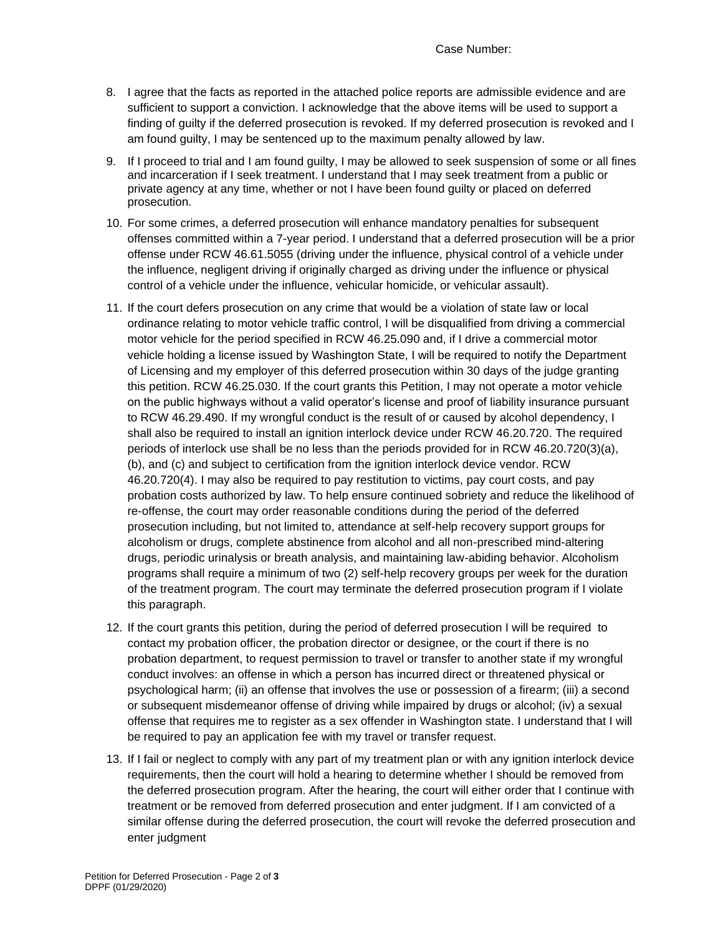Case Number:

- 8. I agree that the facts as reported in the attached police reports are admissible evidence and are sufficient to support a conviction. I acknowledge that the above items will be used to support a finding of guilty if the deferred prosecution is revoked. If my deferred prosecution is revoked and I am found guilty, I may be sentenced up to the maximum penalty allowed by law.
- 9. If I proceed to trial and I am found guilty, I may be allowed to seek suspension of some or all fines and incarceration if I seek treatment. I understand that I may seek treatment from a public or private agency at any time, whether or not I have been found guilty or placed on deferred prosecution.
- 10. For some crimes, a deferred prosecution will enhance mandatory penalties for subsequent offenses committed within a 7-year period. I understand that a deferred prosecution will be a prior offense under RCW 46.61.5055 (driving under the influence, physical control of a vehicle under the influence, negligent driving if originally charged as driving under the influence or physical control of a vehicle under the influence, vehicular homicide, or vehicular assault).
- 11. If the court defers prosecution on any crime that would be a violation of state law or local ordinance relating to motor vehicle traffic control, I will be disqualified from driving a commercial motor vehicle for the period specified in RCW 46.25.090 and, if I drive a commercial motor vehicle holding a license issued by Washington State, I will be required to notify the Department of Licensing and my employer of this deferred prosecution within 30 days of the judge granting this petition. RCW 46.25.030. If the court grants this Petition, I may not operate a motor vehicle on the public highways without a valid operator's license and proof of liability insurance pursuant to RCW 46.29.490. If my wrongful conduct is the result of or caused by alcohol dependency, I shall also be required to install an ignition interlock device under RCW 46.20.720. The required periods of interlock use shall be no less than the periods provided for in RCW 46.20.720(3)(a), (b), and (c) and subject to certification from the ignition interlock device vendor. RCW 46.20.720(4). I may also be required to pay restitution to victims, pay court costs, and pay probation costs authorized by law. To help ensure continued sobriety and reduce the likelihood of re-offense, the court may order reasonable conditions during the period of the deferred prosecution including, but not limited to, attendance at self-help recovery support groups for alcoholism or drugs, complete abstinence from alcohol and all non-prescribed mind-altering drugs, periodic urinalysis or breath analysis, and maintaining law-abiding behavior. Alcoholism programs shall require a minimum of two (2) self-help recovery groups per week for the duration of the treatment program. The court may terminate the deferred prosecution program if I violate this paragraph.
- 12. If the court grants this petition, during the period of deferred prosecution I will be required to contact my probation officer, the probation director or designee, or the court if there is no probation department, to request permission to travel or transfer to another state if my wrongful conduct involves: an offense in which a person has incurred direct or threatened physical or psychological harm; (ii) an offense that involves the use or possession of a firearm; (iii) a second or subsequent misdemeanor offense of driving while impaired by drugs or alcohol; (iv) a sexual offense that requires me to register as a sex offender in Washington state. I understand that I will be required to pay an application fee with my travel or transfer request.
- 13. If I fail or neglect to comply with any part of my treatment plan or with any ignition interlock device requirements, then the court will hold a hearing to determine whether I should be removed from the deferred prosecution program. After the hearing, the court will either order that I continue with treatment or be removed from deferred prosecution and enter judgment. If I am convicted of a similar offense during the deferred prosecution, the court will revoke the deferred prosecution and enter judgment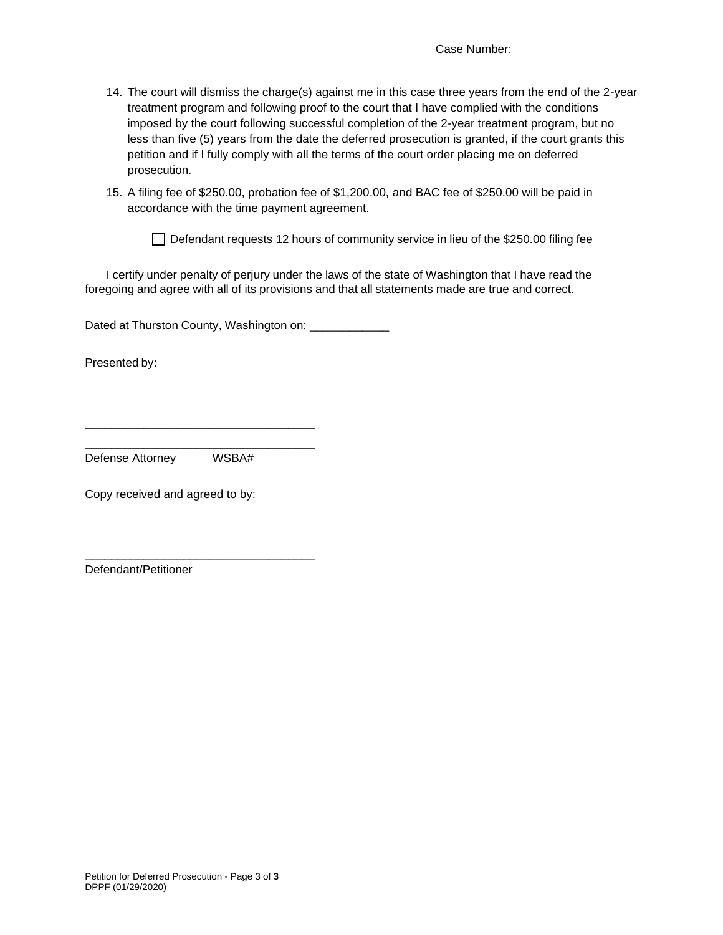- 14. The court will dismiss the charge(s) against me in this case three years from the end of the 2-year treatment program and following proof to the court that I have complied with the conditions imposed by the court following successful completion of the 2-year treatment program, but no less than five (5) years from the date the deferred prosecution is granted, if the court grants this petition and if I fully comply with all the terms of the court order placing me on deferred prosecution.
- 15. A filing fee of \$250.00, probation fee of \$1,200.00, and BAC fee of \$250.00 will be paid in accordance with the time payment agreement.

 $\Box$  Defendant requests 12 hours of community service in lieu of the \$250.00 filing fee

I certify under penalty of perjury under the laws of the state of Washington that I have read the foregoing and agree with all of its provisions and that all statements made are true and correct.

Dated at Thurston County, Washington on: \_\_\_\_\_\_\_\_\_\_\_\_\_

Presented by:

Defense Attorney WSBA#

\_\_\_\_\_\_\_\_\_\_\_\_\_\_\_\_\_\_\_\_\_\_\_\_\_\_\_\_\_\_\_\_\_\_\_ \_\_\_\_\_\_\_\_\_\_\_\_\_\_\_\_\_\_\_\_\_\_\_\_\_\_\_\_\_\_\_\_\_\_\_

\_\_\_\_\_\_\_\_\_\_\_\_\_\_\_\_\_\_\_\_\_\_\_\_\_\_\_\_\_\_\_\_\_\_\_

Copy received and agreed to by:

Defendant/Petitioner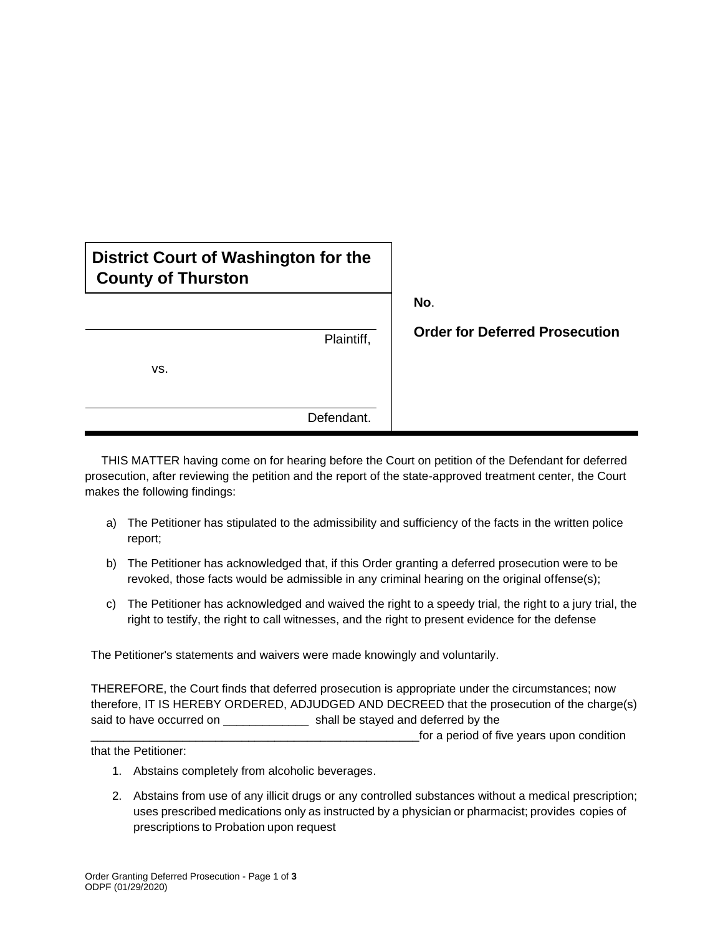| District Court of Washington for the |
|--------------------------------------|
| <b>County of Thurston</b>            |
|                                      |

**No**.

vs. Defendant.

**Plaintiff. Order for Deferred Prosecution** 

 THIS MATTER having come on for hearing before the Court on petition of the Defendant for deferred prosecution, after reviewing the petition and the report of the state-approved treatment center, the Court makes the following findings:

- a) The Petitioner has stipulated to the admissibility and sufficiency of the facts in the written police report;
- b) The Petitioner has acknowledged that, if this Order granting a deferred prosecution were to be revoked, those facts would be admissible in any criminal hearing on the original offense(s);
- c) The Petitioner has acknowledged and waived the right to a speedy trial, the right to a jury trial, the right to testify, the right to call witnesses, and the right to present evidence for the defense

The Petitioner's statements and waivers were made knowingly and voluntarily.

THEREFORE, the Court finds that deferred prosecution is appropriate under the circumstances; now therefore, IT IS HEREBY ORDERED, ADJUDGED AND DECREED that the prosecution of the charge(s) said to have occurred on \_\_\_\_\_\_\_\_\_\_\_\_\_\_\_ shall be stayed and deferred by the for a period of five years upon condition  $\overline{a}$ 

that the Petitioner:

- 1. Abstains completely from alcoholic beverages.
- 2. Abstains from use of any illicit drugs or any controlled substances without a medical prescription; uses prescribed medications only as instructed by a physician or pharmacist; provides copies of prescriptions to Probation upon request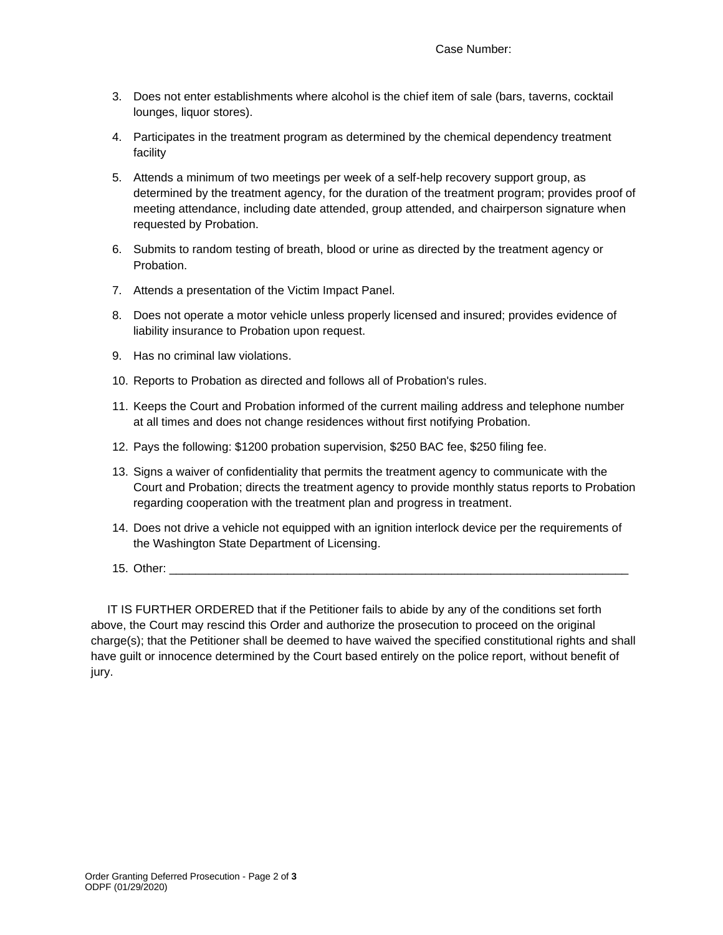- 3. Does not enter establishments where alcohol is the chief item of sale (bars, taverns, cocktail lounges, liquor stores).
- 4. Participates in the treatment program as determined by the chemical dependency treatment facility
- 5. Attends a minimum of two meetings per week of a self-help recovery support group, as determined by the treatment agency, for the duration of the treatment program; provides proof of meeting attendance, including date attended, group attended, and chairperson signature when requested by Probation.
- 6. Submits to random testing of breath, blood or urine as directed by the treatment agency or Probation.
- 7. Attends a presentation of the Victim Impact Panel.
- 8. Does not operate a motor vehicle unless properly licensed and insured; provides evidence of liability insurance to Probation upon request.
- 9. Has no criminal law violations.
- 10. Reports to Probation as directed and follows all of Probation's rules.
- 11. Keeps the Court and Probation informed of the current mailing address and telephone number at all times and does not change residences without first notifying Probation.
- 12. Pays the following: \$1200 probation supervision, \$250 BAC fee, \$250 filing fee.
- 13. Signs a waiver of confidentiality that permits the treatment agency to communicate with the Court and Probation; directs the treatment agency to provide monthly status reports to Probation regarding cooperation with the treatment plan and progress in treatment.
- 14. Does not drive a vehicle not equipped with an ignition interlock device per the requirements of the Washington State Department of Licensing.
- 15. Other:

 IT IS FURTHER ORDERED that if the Petitioner fails to abide by any of the conditions set forth above, the Court may rescind this Order and authorize the prosecution to proceed on the original charge(s); that the Petitioner shall be deemed to have waived the specified constitutional rights and shall have guilt or innocence determined by the Court based entirely on the police report, without benefit of jury.